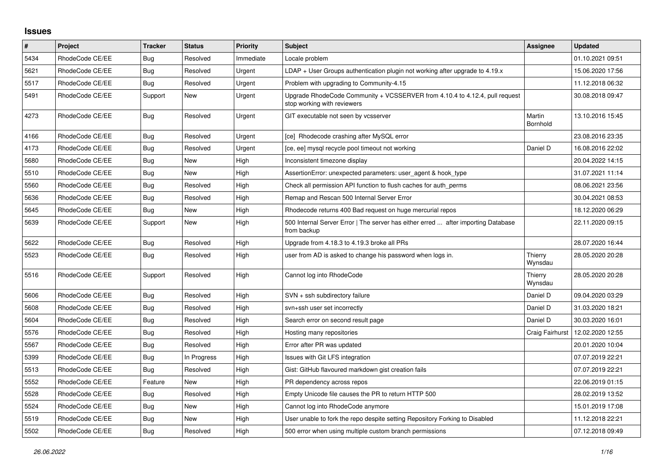## **Issues**

| $\pmb{\#}$ | Project         | <b>Tracker</b> | <b>Status</b> | <b>Priority</b> | <b>Subject</b>                                                                                             | Assignee           | <b>Updated</b>   |
|------------|-----------------|----------------|---------------|-----------------|------------------------------------------------------------------------------------------------------------|--------------------|------------------|
| 5434       | RhodeCode CE/EE | Bug            | Resolved      | Immediate       | Locale problem                                                                                             |                    | 01.10.2021 09:51 |
| 5621       | RhodeCode CE/EE | Bug            | Resolved      | Urgent          | $LDAP + User Groups$ authentication plugin not working after upgrade to 4.19. $x$                          |                    | 15.06.2020 17:56 |
| 5517       | RhodeCode CE/EE | <b>Bug</b>     | Resolved      | Urgent          | Problem with upgrading to Community-4.15                                                                   |                    | 11.12.2018 06:32 |
| 5491       | RhodeCode CE/EE | Support        | New           | Urgent          | Upgrade RhodeCode Community + VCSSERVER from 4.10.4 to 4.12.4, pull request<br>stop working with reviewers |                    | 30.08.2018 09:47 |
| 4273       | RhodeCode CE/EE | Bug            | Resolved      | Urgent          | GIT executable not seen by vcsserver                                                                       | Martin<br>Bornhold | 13.10.2016 15:45 |
| 4166       | RhodeCode CE/EE | Bug            | Resolved      | Urgent          | [ce] Rhodecode crashing after MySQL error                                                                  |                    | 23.08.2016 23:35 |
| 4173       | RhodeCode CE/EE | <b>Bug</b>     | Resolved      | Urgent          | [ce, ee] mysql recycle pool timeout not working                                                            | Daniel D           | 16.08.2016 22:02 |
| 5680       | RhodeCode CE/EE | <b>Bug</b>     | New           | High            | Inconsistent timezone display                                                                              |                    | 20.04.2022 14:15 |
| 5510       | RhodeCode CE/EE | Bug            | New           | High            | AssertionError: unexpected parameters: user_agent & hook_type                                              |                    | 31.07.2021 11:14 |
| 5560       | RhodeCode CE/EE | Bug            | Resolved      | High            | Check all permission API function to flush caches for auth perms                                           |                    | 08.06.2021 23:56 |
| 5636       | RhodeCode CE/EE | Bug            | Resolved      | High            | Remap and Rescan 500 Internal Server Error                                                                 |                    | 30.04.2021 08:53 |
| 5645       | RhodeCode CE/EE | Bug            | New           | High            | Rhodecode returns 400 Bad request on huge mercurial repos                                                  |                    | 18.12.2020 06:29 |
| 5639       | RhodeCode CE/EE | Support        | New           | High            | 500 Internal Server Error   The server has either erred  after importing Database<br>from backup           |                    | 22.11.2020 09:15 |
| 5622       | RhodeCode CE/EE | <b>Bug</b>     | Resolved      | High            | Upgrade from 4.18.3 to 4.19.3 broke all PRs                                                                |                    | 28.07.2020 16:44 |
| 5523       | RhodeCode CE/EE | Bug            | Resolved      | High            | user from AD is asked to change his password when logs in.                                                 | Thierry<br>Wynsdau | 28.05.2020 20:28 |
| 5516       | RhodeCode CE/EE | Support        | Resolved      | High            | Cannot log into RhodeCode                                                                                  | Thierry<br>Wynsdau | 28.05.2020 20:28 |
| 5606       | RhodeCode CE/EE | Bug            | Resolved      | High            | SVN + ssh subdirectory failure                                                                             | Daniel D           | 09.04.2020 03:29 |
| 5608       | RhodeCode CE/EE | <b>Bug</b>     | Resolved      | High            | svn+ssh user set incorrectly                                                                               | Daniel D           | 31.03.2020 18:21 |
| 5604       | RhodeCode CE/EE | Bug            | Resolved      | High            | Search error on second result page                                                                         | Daniel D           | 30.03.2020 16:01 |
| 5576       | RhodeCode CE/EE | Bug            | Resolved      | High            | Hosting many repositories                                                                                  | Craig Fairhurst    | 12.02.2020 12:55 |
| 5567       | RhodeCode CE/EE | <b>Bug</b>     | Resolved      | High            | Error after PR was updated                                                                                 |                    | 20.01.2020 10:04 |
| 5399       | RhodeCode CE/EE | Bug            | In Progress   | High            | Issues with Git LFS integration                                                                            |                    | 07.07.2019 22:21 |
| 5513       | RhodeCode CE/EE | Bug            | Resolved      | High            | Gist: GitHub flavoured markdown gist creation fails                                                        |                    | 07.07.2019 22:21 |
| 5552       | RhodeCode CE/EE | Feature        | New           | High            | PR dependency across repos                                                                                 |                    | 22.06.2019 01:15 |
| 5528       | RhodeCode CE/EE | Bug            | Resolved      | High            | Empty Unicode file causes the PR to return HTTP 500                                                        |                    | 28.02.2019 13:52 |
| 5524       | RhodeCode CE/EE | Bug            | New           | High            | Cannot log into RhodeCode anymore                                                                          |                    | 15.01.2019 17:08 |
| 5519       | RhodeCode CE/EE | <b>Bug</b>     | New           | High            | User unable to fork the repo despite setting Repository Forking to Disabled                                |                    | 11.12.2018 22:21 |
| 5502       | RhodeCode CE/EE | Bug            | Resolved      | High            | 500 error when using multiple custom branch permissions                                                    |                    | 07.12.2018 09:49 |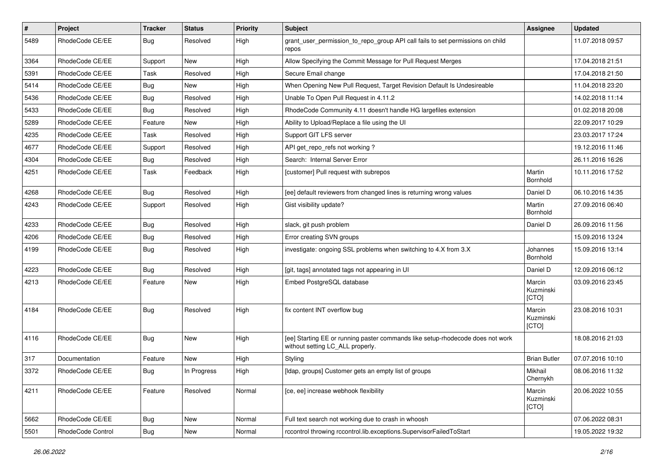| $\sharp$ | Project           | <b>Tracker</b> | <b>Status</b> | <b>Priority</b> | <b>Subject</b>                                                                                                     | Assignee                     | <b>Updated</b>   |
|----------|-------------------|----------------|---------------|-----------------|--------------------------------------------------------------------------------------------------------------------|------------------------------|------------------|
| 5489     | RhodeCode CE/EE   | Bug            | Resolved      | High            | grant_user_permission_to_repo_group API call fails to set permissions on child<br>repos                            |                              | 11.07.2018 09:57 |
| 3364     | RhodeCode CE/EE   | Support        | <b>New</b>    | High            | Allow Specifying the Commit Message for Pull Request Merges                                                        |                              | 17.04.2018 21:51 |
| 5391     | RhodeCode CE/EE   | Task           | Resolved      | High            | Secure Email change                                                                                                |                              | 17.04.2018 21:50 |
| 5414     | RhodeCode CE/EE   | Bug            | <b>New</b>    | High            | When Opening New Pull Request, Target Revision Default Is Undesireable                                             |                              | 11.04.2018 23:20 |
| 5436     | RhodeCode CE/EE   | Bug            | Resolved      | High            | Unable To Open Pull Request in 4.11.2                                                                              |                              | 14.02.2018 11:14 |
| 5433     | RhodeCode CE/EE   | Bug            | Resolved      | High            | RhodeCode Community 4.11 doesn't handle HG largefiles extension                                                    |                              | 01.02.2018 20:08 |
| 5289     | RhodeCode CE/EE   | Feature        | New           | High            | Ability to Upload/Replace a file using the UI                                                                      |                              | 22.09.2017 10:29 |
| 4235     | RhodeCode CE/EE   | Task           | Resolved      | High            | Support GIT LFS server                                                                                             |                              | 23.03.2017 17:24 |
| 4677     | RhodeCode CE/EE   | Support        | Resolved      | High            | API get_repo_refs not working?                                                                                     |                              | 19.12.2016 11:46 |
| 4304     | RhodeCode CE/EE   | Bug            | Resolved      | High            | Search: Internal Server Error                                                                                      |                              | 26.11.2016 16:26 |
| 4251     | RhodeCode CE/EE   | Task           | Feedback      | High            | [customer] Pull request with subrepos                                                                              | Martin<br>Bornhold           | 10.11.2016 17:52 |
| 4268     | RhodeCode CE/EE   | Bug            | Resolved      | High            | [ee] default reviewers from changed lines is returning wrong values                                                | Daniel D                     | 06.10.2016 14:35 |
| 4243     | RhodeCode CE/EE   | Support        | Resolved      | High            | Gist visibility update?                                                                                            | Martin<br>Bornhold           | 27.09.2016 06:40 |
| 4233     | RhodeCode CE/EE   | Bug            | Resolved      | High            | slack, git push problem                                                                                            | Daniel D                     | 26.09.2016 11:56 |
| 4206     | RhodeCode CE/EE   | Bug            | Resolved      | High            | Error creating SVN groups                                                                                          |                              | 15.09.2016 13:24 |
| 4199     | RhodeCode CE/EE   | Bug            | Resolved      | High            | investigate: ongoing SSL problems when switching to 4.X from 3.X                                                   | Johannes<br>Bornhold         | 15.09.2016 13:14 |
| 4223     | RhodeCode CE/EE   | Bug            | Resolved      | High            | [git, tags] annotated tags not appearing in UI                                                                     | Daniel D                     | 12.09.2016 06:12 |
| 4213     | RhodeCode CE/EE   | Feature        | New           | High            | Embed PostgreSQL database                                                                                          | Marcin<br>Kuzminski<br>[CTO] | 03.09.2016 23:45 |
| 4184     | RhodeCode CE/EE   | Bug            | Resolved      | High            | fix content INT overflow bug                                                                                       | Marcin<br>Kuzminski<br>[CTO] | 23.08.2016 10:31 |
| 4116     | RhodeCode CE/EE   | <b>Bug</b>     | <b>New</b>    | High            | [ee] Starting EE or running paster commands like setup-rhodecode does not work<br>without setting LC_ALL properly. |                              | 18.08.2016 21:03 |
| 317      | Documentation     | Feature        | New           | High            | Styling                                                                                                            | <b>Brian Butler</b>          | 07.07.2016 10:10 |
| 3372     | RhodeCode CE/EE   | Bug            | In Progress   | High            | [Idap, groups] Customer gets an empty list of groups                                                               | Mikhail<br>Chernykh          | 08.06.2016 11:32 |
| 4211     | RhodeCode CE/EE   | Feature        | Resolved      | Normal          | [ce, ee] increase webhook flexibility                                                                              | Marcin<br>Kuzminski<br>[CTO] | 20.06.2022 10:55 |
| 5662     | RhodeCode CE/EE   | Bug            | New           | Normal          | Full text search not working due to crash in whoosh                                                                |                              | 07.06.2022 08:31 |
| 5501     | RhodeCode Control | Bug            | New           | Normal          | rccontrol throwing rccontrol.lib.exceptions.SupervisorFailedToStart                                                |                              | 19.05.2022 19:32 |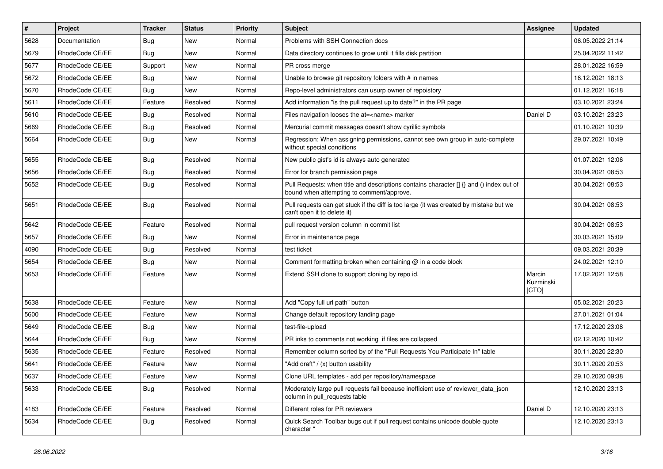| $\#$ | Project         | Tracker    | <b>Status</b> | <b>Priority</b> | <b>Subject</b>                                                                                                                       | Assignee                     | <b>Updated</b>   |
|------|-----------------|------------|---------------|-----------------|--------------------------------------------------------------------------------------------------------------------------------------|------------------------------|------------------|
| 5628 | Documentation   | Bug        | New           | Normal          | Problems with SSH Connection docs                                                                                                    |                              | 06.05.2022 21:14 |
| 5679 | RhodeCode CE/EE | <b>Bug</b> | <b>New</b>    | Normal          | Data directory continues to grow until it fills disk partition                                                                       |                              | 25.04.2022 11:42 |
| 5677 | RhodeCode CE/EE | Support    | New           | Normal          | PR cross merge                                                                                                                       |                              | 28.01.2022 16:59 |
| 5672 | RhodeCode CE/EE | Bug        | New           | Normal          | Unable to browse git repository folders with # in names                                                                              |                              | 16.12.2021 18:13 |
| 5670 | RhodeCode CE/EE | <b>Bug</b> | <b>New</b>    | Normal          | Repo-level administrators can usurp owner of repoistory                                                                              |                              | 01.12.2021 16:18 |
| 5611 | RhodeCode CE/EE | Feature    | Resolved      | Normal          | Add information "is the pull request up to date?" in the PR page                                                                     |                              | 03.10.2021 23:24 |
| 5610 | RhodeCode CE/EE | <b>Bug</b> | Resolved      | Normal          | Files navigation looses the at= <name> marker</name>                                                                                 | Daniel D                     | 03.10.2021 23:23 |
| 5669 | RhodeCode CE/EE | <b>Bug</b> | Resolved      | Normal          | Mercurial commit messages doesn't show cyrillic symbols                                                                              |                              | 01.10.2021 10:39 |
| 5664 | RhodeCode CE/EE | Bug        | New           | Normal          | Regression: When assigning permissions, cannot see own group in auto-complete<br>without special conditions                          |                              | 29.07.2021 10:49 |
| 5655 | RhodeCode CE/EE | <b>Bug</b> | Resolved      | Normal          | New public gist's id is always auto generated                                                                                        |                              | 01.07.2021 12:06 |
| 5656 | RhodeCode CE/EE | <b>Bug</b> | Resolved      | Normal          | Error for branch permission page                                                                                                     |                              | 30.04.2021 08:53 |
| 5652 | RhodeCode CE/EE | <b>Bug</b> | Resolved      | Normal          | Pull Requests: when title and descriptions contains character [] {} and () index out of<br>bound when attempting to comment/approve. |                              | 30.04.2021 08:53 |
| 5651 | RhodeCode CE/EE | Bug        | Resolved      | Normal          | Pull requests can get stuck if the diff is too large (it was created by mistake but we<br>can't open it to delete it)                |                              | 30.04.2021 08:53 |
| 5642 | RhodeCode CE/EE | Feature    | Resolved      | Normal          | pull request version column in commit list                                                                                           |                              | 30.04.2021 08:53 |
| 5657 | RhodeCode CE/EE | <b>Bug</b> | New           | Normal          | Error in maintenance page                                                                                                            |                              | 30.03.2021 15:09 |
| 4090 | RhodeCode CE/EE | <b>Bug</b> | Resolved      | Normal          | test ticket                                                                                                                          |                              | 09.03.2021 20:39 |
| 5654 | RhodeCode CE/EE | Bug        | New           | Normal          | Comment formatting broken when containing $@$ in a code block                                                                        |                              | 24.02.2021 12:10 |
| 5653 | RhodeCode CE/EE | Feature    | <b>New</b>    | Normal          | Extend SSH clone to support cloning by repo id.                                                                                      | Marcin<br>Kuzminski<br>[CTO] | 17.02.2021 12:58 |
| 5638 | RhodeCode CE/EE | Feature    | New           | Normal          | Add "Copy full url path" button                                                                                                      |                              | 05.02.2021 20:23 |
| 5600 | RhodeCode CE/EE | Feature    | New           | Normal          | Change default repository landing page                                                                                               |                              | 27.01.2021 01:04 |
| 5649 | RhodeCode CE/EE | <b>Bug</b> | New           | Normal          | test-file-upload                                                                                                                     |                              | 17.12.2020 23:08 |
| 5644 | RhodeCode CE/EE | Bug        | New           | Normal          | PR inks to comments not working if files are collapsed                                                                               |                              | 02.12.2020 10:42 |
| 5635 | RhodeCode CE/EE | Feature    | Resolved      | Normal          | Remember column sorted by of the "Pull Requests You Participate In" table                                                            |                              | 30.11.2020 22:30 |
| 5641 | RhodeCode CE/EE | Feature    | New           | Normal          | "Add draft" / (x) button usability                                                                                                   |                              | 30.11.2020 20:53 |
| 5637 | RhodeCode CE/EE | Feature    | New           | Normal          | Clone URL templates - add per repository/namespace                                                                                   |                              | 29.10.2020 09:38 |
| 5633 | RhodeCode CE/EE | Bug        | Resolved      | Normal          | Moderately large pull requests fail because inefficient use of reviewer_data_json<br>column in pull_requests table                   |                              | 12.10.2020 23:13 |
| 4183 | RhodeCode CE/EE | Feature    | Resolved      | Normal          | Different roles for PR reviewers                                                                                                     | Daniel D                     | 12.10.2020 23:13 |
| 5634 | RhodeCode CE/EE | Bug        | Resolved      | Normal          | Quick Search Toolbar bugs out if pull request contains unicode double quote<br>character "                                           |                              | 12.10.2020 23:13 |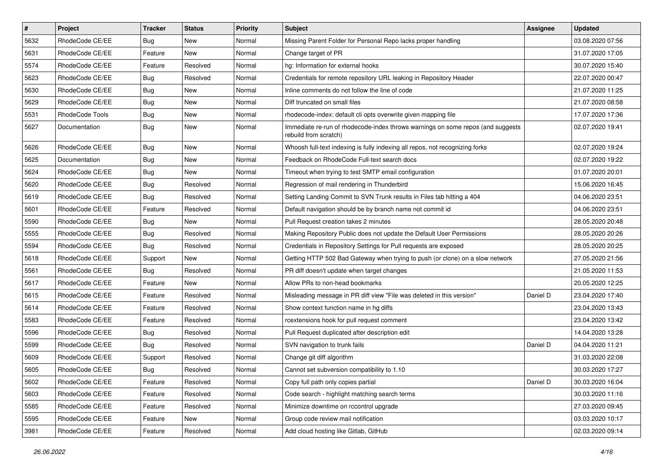| $\vert$ # | Project         | Tracker    | <b>Status</b> | <b>Priority</b> | <b>Subject</b>                                                                                           | <b>Assignee</b> | <b>Updated</b>   |
|-----------|-----------------|------------|---------------|-----------------|----------------------------------------------------------------------------------------------------------|-----------------|------------------|
| 5632      | RhodeCode CE/EE | <b>Bug</b> | New           | Normal          | Missing Parent Folder for Personal Repo lacks proper handling                                            |                 | 03.08.2020 07:56 |
| 5631      | RhodeCode CE/EE | Feature    | New           | Normal          | Change target of PR                                                                                      |                 | 31.07.2020 17:05 |
| 5574      | RhodeCode CE/EE | Feature    | Resolved      | Normal          | hg: Information for external hooks                                                                       |                 | 30.07.2020 15:40 |
| 5623      | RhodeCode CE/EE | <b>Bug</b> | Resolved      | Normal          | Credentials for remote repository URL leaking in Repository Header                                       |                 | 22.07.2020 00:47 |
| 5630      | RhodeCode CE/EE | <b>Bug</b> | New           | Normal          | Inline comments do not follow the line of code                                                           |                 | 21.07.2020 11:25 |
| 5629      | RhodeCode CE/EE | <b>Bug</b> | New           | Normal          | Diff truncated on small files                                                                            |                 | 21.07.2020 08:58 |
| 5531      | RhodeCode Tools | Bug        | New           | Normal          | rhodecode-index: default cli opts overwrite given mapping file                                           |                 | 17.07.2020 17:36 |
| 5627      | Documentation   | <b>Bug</b> | New           | Normal          | Immediate re-run of rhodecode-index throws warnings on some repos (and suggests<br>rebuild from scratch) |                 | 02.07.2020 19:41 |
| 5626      | RhodeCode CE/EE | <b>Bug</b> | <b>New</b>    | Normal          | Whoosh full-text indexing is fully indexing all repos, not recognizing forks                             |                 | 02.07.2020 19:24 |
| 5625      | Documentation   | Bug        | New           | Normal          | Feedback on RhodeCode Full-text search docs                                                              |                 | 02.07.2020 19:22 |
| 5624      | RhodeCode CE/EE | <b>Bug</b> | New           | Normal          | Timeout when trying to test SMTP email configuration                                                     |                 | 01.07.2020 20:01 |
| 5620      | RhodeCode CE/EE | <b>Bug</b> | Resolved      | Normal          | Regression of mail rendering in Thunderbird                                                              |                 | 15.06.2020 16:45 |
| 5619      | RhodeCode CE/EE | <b>Bug</b> | Resolved      | Normal          | Setting Landing Commit to SVN Trunk results in Files tab hitting a 404                                   |                 | 04.06.2020 23:51 |
| 5601      | RhodeCode CE/EE | Feature    | Resolved      | Normal          | Default navigation should be by branch name not commit id                                                |                 | 04.06.2020 23:51 |
| 5590      | RhodeCode CE/EE | <b>Bug</b> | New           | Normal          | Pull Request creation takes 2 minutes                                                                    |                 | 28.05.2020 20:48 |
| 5555      | RhodeCode CE/EE | <b>Bug</b> | Resolved      | Normal          | Making Repository Public does not update the Default User Permissions                                    |                 | 28.05.2020 20:26 |
| 5594      | RhodeCode CE/EE | Bug        | Resolved      | Normal          | Credentials in Repository Settings for Pull requests are exposed                                         |                 | 28.05.2020 20:25 |
| 5618      | RhodeCode CE/EE | Support    | <b>New</b>    | Normal          | Getting HTTP 502 Bad Gateway when trying to push (or clone) on a slow network                            |                 | 27.05.2020 21:56 |
| 5561      | RhodeCode CE/EE | Bug        | Resolved      | Normal          | PR diff doesn't update when target changes                                                               |                 | 21.05.2020 11:53 |
| 5617      | RhodeCode CE/EE | Feature    | <b>New</b>    | Normal          | Allow PRs to non-head bookmarks                                                                          |                 | 20.05.2020 12:25 |
| 5615      | RhodeCode CE/EE | Feature    | Resolved      | Normal          | Misleading message in PR diff view "File was deleted in this version"                                    | Daniel D        | 23.04.2020 17:40 |
| 5614      | RhodeCode CE/EE | Feature    | Resolved      | Normal          | Show context function name in hg diffs                                                                   |                 | 23.04.2020 13:43 |
| 5583      | RhodeCode CE/EE | Feature    | Resolved      | Normal          | rcextensions hook for pull request comment                                                               |                 | 23.04.2020 13:42 |
| 5596      | RhodeCode CE/EE | <b>Bug</b> | Resolved      | Normal          | Pull Request duplicated after description edit                                                           |                 | 14.04.2020 13:28 |
| 5599      | RhodeCode CE/EE | <b>Bug</b> | Resolved      | Normal          | SVN navigation to trunk fails                                                                            | Daniel D        | 04.04.2020 11:21 |
| 5609      | RhodeCode CE/EE | Support    | Resolved      | Normal          | Change git diff algorithm                                                                                |                 | 31.03.2020 22:08 |
| 5605      | RhodeCode CE/EE | <b>Bug</b> | Resolved      | Normal          | Cannot set subversion compatibility to 1.10                                                              |                 | 30.03.2020 17:27 |
| 5602      | RhodeCode CE/EE | Feature    | Resolved      | Normal          | Copy full path only copies partial                                                                       | Daniel D        | 30.03.2020 16:04 |
| 5603      | RhodeCode CE/EE | Feature    | Resolved      | Normal          | Code search - highlight matching search terms                                                            |                 | 30.03.2020 11:16 |
| 5585      | RhodeCode CE/EE | Feature    | Resolved      | Normal          | Minimize downtime on rccontrol upgrade                                                                   |                 | 27.03.2020 09:45 |
| 5595      | RhodeCode CE/EE | Feature    | New           | Normal          | Group code review mail notification                                                                      |                 | 03.03.2020 10:17 |
| 3981      | RhodeCode CE/EE | Feature    | Resolved      | Normal          | Add cloud hosting like Gitlab, GitHub                                                                    |                 | 02.03.2020 09:14 |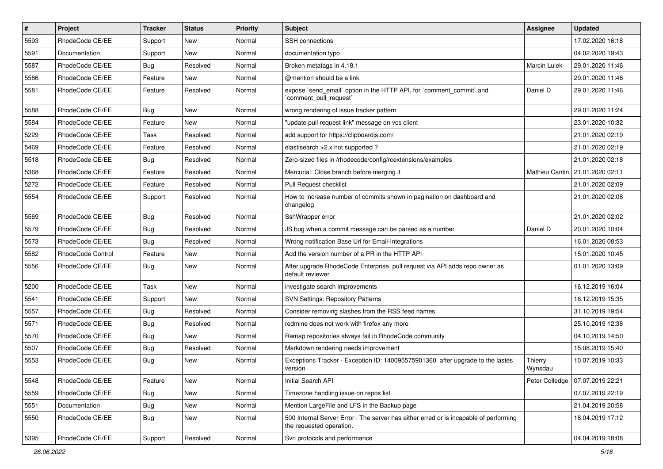| #    | Project           | <b>Tracker</b> | <b>Status</b> | <b>Priority</b> | Subject                                                                                                           | <b>Assignee</b>    | <b>Updated</b>                    |
|------|-------------------|----------------|---------------|-----------------|-------------------------------------------------------------------------------------------------------------------|--------------------|-----------------------------------|
| 5593 | RhodeCode CE/EE   | Support        | New           | Normal          | <b>SSH</b> connections                                                                                            |                    | 17.02.2020 16:18                  |
| 5591 | Documentation     | Support        | <b>New</b>    | Normal          | documentation typo                                                                                                |                    | 04.02.2020 19:43                  |
| 5587 | RhodeCode CE/EE   | Bug            | Resolved      | Normal          | Broken metatags in 4.18.1                                                                                         | Marcin Lulek       | 29.01.2020 11:46                  |
| 5586 | RhodeCode CE/EE   | Feature        | <b>New</b>    | Normal          | @mention should be a link                                                                                         |                    | 29.01.2020 11:46                  |
| 5581 | RhodeCode CE/EE   | Feature        | Resolved      | Normal          | expose `send_email` option in the HTTP API, for `comment_commit` and<br>`comment pull request`                    | Daniel D           | 29.01.2020 11:46                  |
| 5588 | RhodeCode CE/EE   | <b>Bug</b>     | <b>New</b>    | Normal          | wrong rendering of issue tracker pattern                                                                          |                    | 29.01.2020 11:24                  |
| 5584 | RhodeCode CE/EE   | Feature        | New           | Normal          | "update pull request link" message on vcs client                                                                  |                    | 23.01.2020 10:32                  |
| 5229 | RhodeCode CE/EE   | Task           | Resolved      | Normal          | add support for https://clipboardjs.com/                                                                          |                    | 21.01.2020 02:19                  |
| 5469 | RhodeCode CE/EE   | Feature        | Resolved      | Normal          | elastisearch > 2.x not supported ?                                                                                |                    | 21.01.2020 02:19                  |
| 5518 | RhodeCode CE/EE   | Bug            | Resolved      | Normal          | Zero-sized files in /rhodecode/config/rcextensions/examples                                                       |                    | 21.01.2020 02:18                  |
| 5368 | RhodeCode CE/EE   | Feature        | Resolved      | Normal          | Mercurial: Close branch before merging it                                                                         |                    | Mathieu Cantin   21.01.2020 02:11 |
| 5272 | RhodeCode CE/EE   | Feature        | Resolved      | Normal          | Pull Request checklist                                                                                            |                    | 21.01.2020 02:09                  |
| 5554 | RhodeCode CE/EE   | Support        | Resolved      | Normal          | How to increase number of commits shown in pagination on dashboard and<br>changelog                               |                    | 21.01.2020 02:08                  |
| 5569 | RhodeCode CE/EE   | Bug            | Resolved      | Normal          | SshWrapper error                                                                                                  |                    | 21.01.2020 02:02                  |
| 5579 | RhodeCode CE/EE   | Bug            | Resolved      | Normal          | JS bug when a commit message can be parsed as a number                                                            | Daniel D           | 20.01.2020 10:04                  |
| 5573 | RhodeCode CE/EE   | Bug            | Resolved      | Normal          | Wrong notification Base Url for Email-Integrations                                                                |                    | 16.01.2020 08:53                  |
| 5582 | RhodeCode Control | Feature        | New           | Normal          | Add the version number of a PR in the HTTP API                                                                    |                    | 15.01.2020 10:45                  |
| 5556 | RhodeCode CE/EE   | Bug            | <b>New</b>    | Normal          | After upgrade RhodeCode Enterprise, pull request via API adds repo owner as<br>default reviewer                   |                    | 01.01.2020 13:09                  |
| 5200 | RhodeCode CE/EE   | Task           | <b>New</b>    | Normal          | investigate search improvements                                                                                   |                    | 16.12.2019 16:04                  |
| 5541 | RhodeCode CE/EE   | Support        | <b>New</b>    | Normal          | <b>SVN Settings: Repository Patterns</b>                                                                          |                    | 16.12.2019 15:35                  |
| 5557 | RhodeCode CE/EE   | Bug            | Resolved      | Normal          | Consider removing slashes from the RSS feed names                                                                 |                    | 31.10.2019 19:54                  |
| 5571 | RhodeCode CE/EE   | Bug            | Resolved      | Normal          | redmine does not work with firefox any more                                                                       |                    | 25.10.2019 12:38                  |
| 5570 | RhodeCode CE/EE   | Bug            | <b>New</b>    | Normal          | Remap repositories always fail in RhodeCode community                                                             |                    | 04.10.2019 14:50                  |
| 5507 | RhodeCode CE/EE   | Bug            | Resolved      | Normal          | Markdown rendering needs improvement                                                                              |                    | 15.08.2019 15:40                  |
| 5553 | RhodeCode CE/EE   | Bug            | New           | Normal          | Exceptions Tracker - Exception ID: 140095575901360 after upgrade to the lastes<br>version                         | Thierry<br>Wynsdau | 10.07.2019 10:33                  |
| 5548 | RhodeCode CE/EE   | Feature        | New           | Normal          | Initial Search API                                                                                                |                    | Peter Colledge   07.07.2019 22:21 |
| 5559 | RhodeCode CE/EE   | Bug            | New           | Normal          | Timezone handling issue on repos list                                                                             |                    | 07.07.2019 22:19                  |
| 5551 | Documentation     | <b>Bug</b>     | New           | Normal          | Mention LargeFile and LFS in the Backup page                                                                      |                    | 21.04.2019 20:58                  |
| 5550 | RhodeCode CE/EE   | Bug            | New           | Normal          | 500 Internal Server Error   The server has either erred or is incapable of performing<br>the requested operation. |                    | 18.04.2019 17:12                  |
| 5395 | RhodeCode CE/EE   | Support        | Resolved      | Normal          | Svn protocols and performance                                                                                     |                    | 04.04.2019 18:08                  |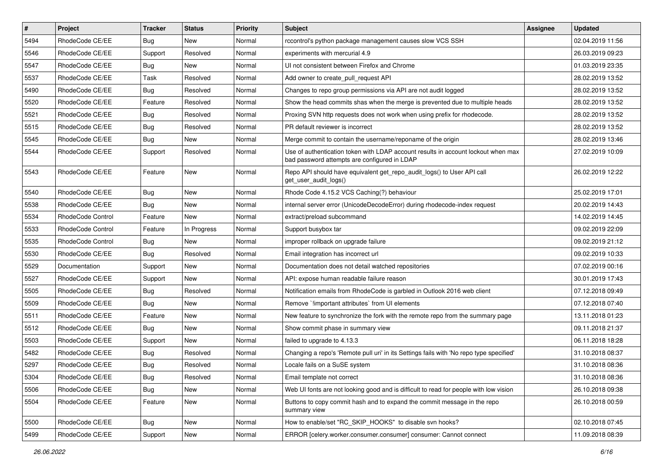| $\pmb{\#}$ | Project           | <b>Tracker</b> | <b>Status</b> | Priority | Subject                                                                                                                           | Assignee | <b>Updated</b>   |
|------------|-------------------|----------------|---------------|----------|-----------------------------------------------------------------------------------------------------------------------------------|----------|------------------|
| 5494       | RhodeCode CE/EE   | <b>Bug</b>     | New           | Normal   | rccontrol's python package management causes slow VCS SSH                                                                         |          | 02.04.2019 11:56 |
| 5546       | RhodeCode CE/EE   | Support        | Resolved      | Normal   | experiments with mercurial 4.9                                                                                                    |          | 26.03.2019 09:23 |
| 5547       | RhodeCode CE/EE   | Bug            | New           | Normal   | UI not consistent between Firefox and Chrome                                                                                      |          | 01.03.2019 23:35 |
| 5537       | RhodeCode CE/EE   | Task           | Resolved      | Normal   | Add owner to create pull request API                                                                                              |          | 28.02.2019 13:52 |
| 5490       | RhodeCode CE/EE   | Bug            | Resolved      | Normal   | Changes to repo group permissions via API are not audit logged                                                                    |          | 28.02.2019 13:52 |
| 5520       | RhodeCode CE/EE   | Feature        | Resolved      | Normal   | Show the head commits shas when the merge is prevented due to multiple heads                                                      |          | 28.02.2019 13:52 |
| 5521       | RhodeCode CE/EE   | Bug            | Resolved      | Normal   | Proxing SVN http requests does not work when using prefix for rhodecode.                                                          |          | 28.02.2019 13:52 |
| 5515       | RhodeCode CE/EE   | Bug            | Resolved      | Normal   | PR default reviewer is incorrect                                                                                                  |          | 28.02.2019 13:52 |
| 5545       | RhodeCode CE/EE   | Bug            | <b>New</b>    | Normal   | Merge commit to contain the username/reponame of the origin                                                                       |          | 28.02.2019 13:46 |
| 5544       | RhodeCode CE/EE   | Support        | Resolved      | Normal   | Use of authentication token with LDAP account results in account lockout when max<br>bad password attempts are configured in LDAP |          | 27.02.2019 10:09 |
| 5543       | RhodeCode CE/EE   | Feature        | New           | Normal   | Repo API should have equivalent get_repo_audit_logs() to User API call<br>get user audit logs()                                   |          | 26.02.2019 12:22 |
| 5540       | RhodeCode CE/EE   | Bug            | <b>New</b>    | Normal   | Rhode Code 4.15.2 VCS Caching(?) behaviour                                                                                        |          | 25.02.2019 17:01 |
| 5538       | RhodeCode CE/EE   | Bug            | New           | Normal   | internal server error (UnicodeDecodeError) during rhodecode-index request                                                         |          | 20.02.2019 14:43 |
| 5534       | RhodeCode Control | Feature        | New           | Normal   | extract/preload subcommand                                                                                                        |          | 14.02.2019 14:45 |
| 5533       | RhodeCode Control | Feature        | In Progress   | Normal   | Support busybox tar                                                                                                               |          | 09.02.2019 22:09 |
| 5535       | RhodeCode Control | Bug            | New           | Normal   | improper rollback on upgrade failure                                                                                              |          | 09.02.2019 21:12 |
| 5530       | RhodeCode CE/EE   | Bug            | Resolved      | Normal   | Email integration has incorrect url                                                                                               |          | 09.02.2019 10:33 |
| 5529       | Documentation     | Support        | New           | Normal   | Documentation does not detail watched repositories                                                                                |          | 07.02.2019 00:16 |
| 5527       | RhodeCode CE/EE   | Support        | <b>New</b>    | Normal   | API: expose human readable failure reason                                                                                         |          | 30.01.2019 17:43 |
| 5505       | RhodeCode CE/EE   | Bug            | Resolved      | Normal   | Notification emails from RhodeCode is garbled in Outlook 2016 web client                                                          |          | 07.12.2018 09:49 |
| 5509       | RhodeCode CE/EE   | Bug            | <b>New</b>    | Normal   | Remove `limportant attributes` from UI elements                                                                                   |          | 07.12.2018 07:40 |
| 5511       | RhodeCode CE/EE   | Feature        | New           | Normal   | New feature to synchronize the fork with the remote repo from the summary page                                                    |          | 13.11.2018 01:23 |
| 5512       | RhodeCode CE/EE   | Bug            | New           | Normal   | Show commit phase in summary view                                                                                                 |          | 09.11.2018 21:37 |
| 5503       | RhodeCode CE/EE   | Support        | <b>New</b>    | Normal   | failed to upgrade to 4.13.3                                                                                                       |          | 06.11.2018 18:28 |
| 5482       | RhodeCode CE/EE   | Bug            | Resolved      | Normal   | Changing a repo's 'Remote pull uri' in its Settings fails with 'No repo type specified'                                           |          | 31.10.2018 08:37 |
| 5297       | RhodeCode CE/EE   | Bug            | Resolved      | Normal   | Locale fails on a SuSE system                                                                                                     |          | 31.10.2018 08:36 |
| 5304       | RhodeCode CE/EE   | <b>Bug</b>     | Resolved      | Normal   | Email template not correct                                                                                                        |          | 31.10.2018 08:36 |
| 5506       | RhodeCode CE/EE   | <b>Bug</b>     | <b>New</b>    | Normal   | Web UI fonts are not looking good and is difficult to read for people with low vision                                             |          | 26.10.2018 09:38 |
| 5504       | RhodeCode CE/EE   | Feature        | New           | Normal   | Buttons to copy commit hash and to expand the commit message in the repo<br>summary view                                          |          | 26.10.2018 00:59 |
| 5500       | RhodeCode CE/EE   | Bug            | New           | Normal   | How to enable/set "RC_SKIP_HOOKS" to disable svn hooks?                                                                           |          | 02.10.2018 07:45 |
| 5499       | RhodeCode CE/EE   | Support        | New           | Normal   | ERROR [celery.worker.consumer.consumer] consumer: Cannot connect                                                                  |          | 11.09.2018 08:39 |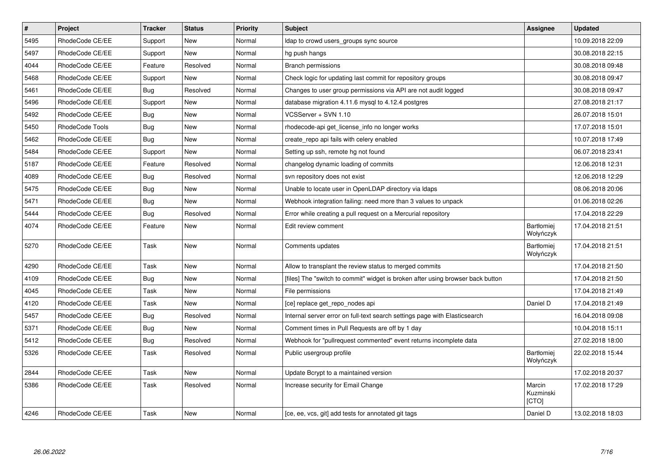| $\pmb{\#}$ | Project         | <b>Tracker</b> | <b>Status</b> | Priority | Subject                                                                         | Assignee                       | <b>Updated</b>   |
|------------|-----------------|----------------|---------------|----------|---------------------------------------------------------------------------------|--------------------------------|------------------|
| 5495       | RhodeCode CE/EE | Support        | New           | Normal   | Idap to crowd users_groups sync source                                          |                                | 10.09.2018 22:09 |
| 5497       | RhodeCode CE/EE | Support        | <b>New</b>    | Normal   | hg push hangs                                                                   |                                | 30.08.2018 22:15 |
| 4044       | RhodeCode CE/EE | Feature        | Resolved      | Normal   | <b>Branch permissions</b>                                                       |                                | 30.08.2018 09:48 |
| 5468       | RhodeCode CE/EE | Support        | <b>New</b>    | Normal   | Check logic for updating last commit for repository groups                      |                                | 30.08.2018 09:47 |
| 5461       | RhodeCode CE/EE | <b>Bug</b>     | Resolved      | Normal   | Changes to user group permissions via API are not audit logged                  |                                | 30.08.2018 09:47 |
| 5496       | RhodeCode CE/EE | Support        | <b>New</b>    | Normal   | database migration 4.11.6 mysql to 4.12.4 postgres                              |                                | 27.08.2018 21:17 |
| 5492       | RhodeCode CE/EE | <b>Bug</b>     | <b>New</b>    | Normal   | VCSServer + SVN 1.10                                                            |                                | 26.07.2018 15:01 |
| 5450       | RhodeCode Tools | <b>Bug</b>     | <b>New</b>    | Normal   | rhodecode-api get_license_info no longer works                                  |                                | 17.07.2018 15:01 |
| 5462       | RhodeCode CE/EE | Bug            | New           | Normal   | create_repo api fails with celery enabled                                       |                                | 10.07.2018 17:49 |
| 5484       | RhodeCode CE/EE | Support        | <b>New</b>    | Normal   | Setting up ssh, remote hg not found                                             |                                | 06.07.2018 23:41 |
| 5187       | RhodeCode CE/EE | Feature        | Resolved      | Normal   | changelog dynamic loading of commits                                            |                                | 12.06.2018 12:31 |
| 4089       | RhodeCode CE/EE | Bug            | Resolved      | Normal   | svn repository does not exist                                                   |                                | 12.06.2018 12:29 |
| 5475       | RhodeCode CE/EE | Bug            | New           | Normal   | Unable to locate user in OpenLDAP directory via Idaps                           |                                | 08.06.2018 20:06 |
| 5471       | RhodeCode CE/EE | Bug            | New           | Normal   | Webhook integration failing: need more than 3 values to unpack                  |                                | 01.06.2018 02:26 |
| 5444       | RhodeCode CE/EE | Bug            | Resolved      | Normal   | Error while creating a pull request on a Mercurial repository                   |                                | 17.04.2018 22:29 |
| 4074       | RhodeCode CE/EE | Feature        | <b>New</b>    | Normal   | Edit review comment                                                             | <b>Bartłomiej</b><br>Wołyńczyk | 17.04.2018 21:51 |
| 5270       | RhodeCode CE/EE | Task           | New           | Normal   | Comments updates                                                                | <b>Bartłomiej</b><br>Wołyńczyk | 17.04.2018 21:51 |
| 4290       | RhodeCode CE/EE | Task           | New           | Normal   | Allow to transplant the review status to merged commits                         |                                | 17.04.2018 21:50 |
| 4109       | RhodeCode CE/EE | Bug            | New           | Normal   | [files] The "switch to commit" widget is broken after using browser back button |                                | 17.04.2018 21:50 |
| 4045       | RhodeCode CE/EE | Task           | New           | Normal   | File permissions                                                                |                                | 17.04.2018 21:49 |
| 4120       | RhodeCode CE/EE | Task           | <b>New</b>    | Normal   | [ce] replace get repo nodes api                                                 | Daniel D                       | 17.04.2018 21:49 |
| 5457       | RhodeCode CE/EE | Bug            | Resolved      | Normal   | Internal server error on full-text search settings page with Elasticsearch      |                                | 16.04.2018 09:08 |
| 5371       | RhodeCode CE/EE | Bug            | New           | Normal   | Comment times in Pull Requests are off by 1 day                                 |                                | 10.04.2018 15:11 |
| 5412       | RhodeCode CE/EE | <b>Bug</b>     | Resolved      | Normal   | Webhook for "pullrequest commented" event returns incomplete data               |                                | 27.02.2018 18:00 |
| 5326       | RhodeCode CE/EE | Task           | Resolved      | Normal   | Public usergroup profile                                                        | <b>Bartłomiej</b><br>Wołyńczyk | 22.02.2018 15:44 |
| 2844       | RhodeCode CE/EE | Task           | New           | Normal   | Update Bcrypt to a maintained version                                           |                                | 17.02.2018 20:37 |
| 5386       | RhodeCode CE/EE | Task           | Resolved      | Normal   | Increase security for Email Change                                              | Marcin<br>Kuzminski<br>[CTO]   | 17.02.2018 17:29 |
| 4246       | RhodeCode CE/EE | Task           | <b>New</b>    | Normal   | [ce, ee, vcs, git] add tests for annotated git tags                             | Daniel D                       | 13.02.2018 18:03 |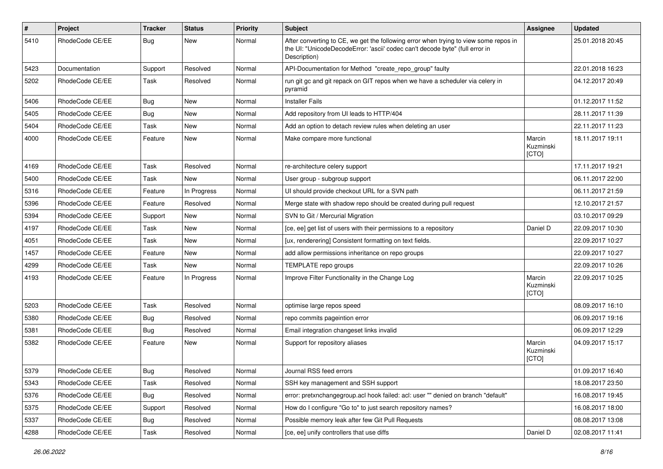| #    | Project         | <b>Tracker</b> | <b>Status</b> | <b>Priority</b> | Subject                                                                                                                                                                              | Assignee                     | <b>Updated</b>   |
|------|-----------------|----------------|---------------|-----------------|--------------------------------------------------------------------------------------------------------------------------------------------------------------------------------------|------------------------------|------------------|
| 5410 | RhodeCode CE/EE | Bug            | New           | Normal          | After converting to CE, we get the following error when trying to view some repos in<br>the UI: "UnicodeDecodeError: 'ascii' codec can't decode byte" (full error in<br>Description) |                              | 25.01.2018 20:45 |
| 5423 | Documentation   | Support        | Resolved      | Normal          | API-Documentation for Method "create_repo_group" faulty                                                                                                                              |                              | 22.01.2018 16:23 |
| 5202 | RhodeCode CE/EE | Task           | Resolved      | Normal          | run git gc and git repack on GIT repos when we have a scheduler via celery in<br>pyramid                                                                                             |                              | 04.12.2017 20:49 |
| 5406 | RhodeCode CE/EE | Bug            | <b>New</b>    | Normal          | <b>Installer Fails</b>                                                                                                                                                               |                              | 01.12.2017 11:52 |
| 5405 | RhodeCode CE/EE | Bug            | <b>New</b>    | Normal          | Add repository from UI leads to HTTP/404                                                                                                                                             |                              | 28.11.2017 11:39 |
| 5404 | RhodeCode CE/EE | Task           | <b>New</b>    | Normal          | Add an option to detach review rules when deleting an user                                                                                                                           |                              | 22.11.2017 11:23 |
| 4000 | RhodeCode CE/EE | Feature        | <b>New</b>    | Normal          | Make compare more functional                                                                                                                                                         | Marcin<br>Kuzminski<br>[CTO] | 18.11.2017 19:11 |
| 4169 | RhodeCode CE/EE | Task           | Resolved      | Normal          | re-architecture celery support                                                                                                                                                       |                              | 17.11.2017 19:21 |
| 5400 | RhodeCode CE/EE | Task           | New           | Normal          | User group - subgroup support                                                                                                                                                        |                              | 06.11.2017 22:00 |
| 5316 | RhodeCode CE/EE | Feature        | In Progress   | Normal          | UI should provide checkout URL for a SVN path                                                                                                                                        |                              | 06.11.2017 21:59 |
| 5396 | RhodeCode CE/EE | Feature        | Resolved      | Normal          | Merge state with shadow repo should be created during pull request                                                                                                                   |                              | 12.10.2017 21:57 |
| 5394 | RhodeCode CE/EE | Support        | New           | Normal          | SVN to Git / Mercurial Migration                                                                                                                                                     |                              | 03.10.2017 09:29 |
| 4197 | RhodeCode CE/EE | Task           | <b>New</b>    | Normal          | [ce, ee] get list of users with their permissions to a repository                                                                                                                    | Daniel D                     | 22.09.2017 10:30 |
| 4051 | RhodeCode CE/EE | Task           | New           | Normal          | [ux, renderering] Consistent formatting on text fields.                                                                                                                              |                              | 22.09.2017 10:27 |
| 1457 | RhodeCode CE/EE | Feature        | <b>New</b>    | Normal          | add allow permissions inheritance on repo groups                                                                                                                                     |                              | 22.09.2017 10:27 |
| 4299 | RhodeCode CE/EE | Task           | <b>New</b>    | Normal          | TEMPLATE repo groups                                                                                                                                                                 |                              | 22.09.2017 10:26 |
| 4193 | RhodeCode CE/EE | Feature        | In Progress   | Normal          | Improve Filter Functionality in the Change Log                                                                                                                                       | Marcin<br>Kuzminski<br>[CTO] | 22.09.2017 10:25 |
| 5203 | RhodeCode CE/EE | Task           | Resolved      | Normal          | optimise large repos speed                                                                                                                                                           |                              | 08.09.2017 16:10 |
| 5380 | RhodeCode CE/EE | Bug            | Resolved      | Normal          | repo commits pageintion error                                                                                                                                                        |                              | 06.09.2017 19:16 |
| 5381 | RhodeCode CE/EE | Bug            | Resolved      | Normal          | Email integration changeset links invalid                                                                                                                                            |                              | 06.09.2017 12:29 |
| 5382 | RhodeCode CE/EE | Feature        | New           | Normal          | Support for repository aliases                                                                                                                                                       | Marcin<br>Kuzminski<br>[CTO] | 04.09.2017 15:17 |
| 5379 | RhodeCode CE/EE | Bug            | Resolved      | Normal          | Journal RSS feed errors                                                                                                                                                              |                              | 01.09.2017 16:40 |
| 5343 | RhodeCode CE/EE | Task           | Resolved      | Normal          | SSH key management and SSH support                                                                                                                                                   |                              | 18.08.2017 23:50 |
| 5376 | RhodeCode CE/EE | <b>Bug</b>     | Resolved      | Normal          | error: pretxnchangegroup.acl hook failed: acl: user "" denied on branch "default"                                                                                                    |                              | 16.08.2017 19:45 |
| 5375 | RhodeCode CE/EE | Support        | Resolved      | Normal          | How do I configure "Go to" to just search repository names?                                                                                                                          |                              | 16.08.2017 18:00 |
| 5337 | RhodeCode CE/EE | <b>Bug</b>     | Resolved      | Normal          | Possible memory leak after few Git Pull Requests                                                                                                                                     |                              | 08.08.2017 13:08 |
| 4288 | RhodeCode CE/EE | Task           | Resolved      | Normal          | [ce, ee] unify controllers that use diffs                                                                                                                                            | Daniel D                     | 02.08.2017 11:41 |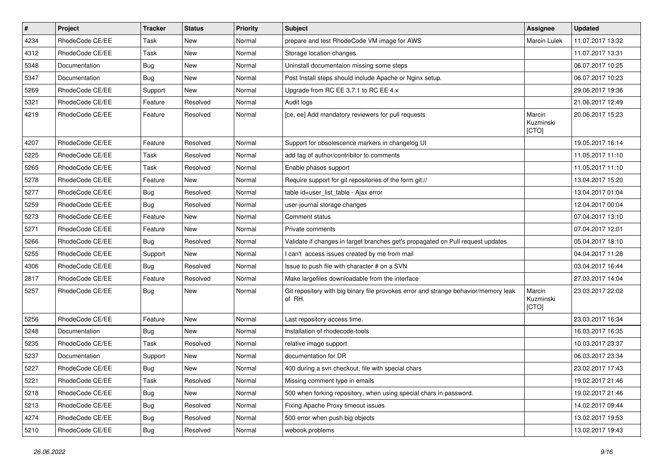| $\sharp$ | Project         | <b>Tracker</b> | <b>Status</b> | Priority | <b>Subject</b>                                                                                | <b>Assignee</b>              | <b>Updated</b>   |
|----------|-----------------|----------------|---------------|----------|-----------------------------------------------------------------------------------------------|------------------------------|------------------|
| 4234     | RhodeCode CE/EE | Task           | New           | Normal   | prepare and test RhodeCode VM image for AWS                                                   | Marcin Lulek                 | 11.07.2017 13:32 |
| 4312     | RhodeCode CE/EE | Task           | <b>New</b>    | Normal   | Storage location changes                                                                      |                              | 11.07.2017 13:31 |
| 5348     | Documentation   | Bug            | New           | Normal   | Uninstall documentaion missing some steps                                                     |                              | 06.07.2017 10:25 |
| 5347     | Documentation   | Bug            | <b>New</b>    | Normal   | Post Install steps should include Apache or Nginx setup.                                      |                              | 06.07.2017 10:23 |
| 5269     | RhodeCode CE/EE | Support        | <b>New</b>    | Normal   | Upgrade from RC EE 3.7.1 to RC EE 4.x                                                         |                              | 29.06.2017 19:36 |
| 5321     | RhodeCode CE/EE | Feature        | Resolved      | Normal   | Audit logs                                                                                    |                              | 21.06.2017 12:49 |
| 4219     | RhodeCode CE/EE | Feature        | Resolved      | Normal   | [ce, ee] Add mandatory reviewers for pull requests                                            | Marcin<br>Kuzminski<br>[CTO] | 20.06.2017 15:23 |
| 4207     | RhodeCode CE/EE | Feature        | Resolved      | Normal   | Support for obsolescence markers in changelog UI                                              |                              | 19.05.2017 16:14 |
| 5225     | RhodeCode CE/EE | Task           | Resolved      | Normal   | add tag of author/contribitor to comments                                                     |                              | 11.05.2017 11:10 |
| 5265     | RhodeCode CE/EE | Task           | Resolved      | Normal   | Enable phases support                                                                         |                              | 11.05.2017 11:10 |
| 5278     | RhodeCode CE/EE | Feature        | <b>New</b>    | Normal   | Require support for git repositories of the form git://                                       |                              | 13.04.2017 15:20 |
| 5277     | RhodeCode CE/EE | Bug            | Resolved      | Normal   | table id=user list table - Ajax error                                                         |                              | 13.04.2017 01:04 |
| 5259     | RhodeCode CE/EE | Bug            | Resolved      | Normal   | user-journal storage changes                                                                  |                              | 12.04.2017 00:04 |
| 5273     | RhodeCode CE/EE | Feature        | <b>New</b>    | Normal   | Comment status                                                                                |                              | 07.04.2017 13:10 |
| 5271     | RhodeCode CE/EE | Feature        | <b>New</b>    | Normal   | Private comments                                                                              |                              | 07.04.2017 12:01 |
| 5266     | RhodeCode CE/EE | Bug            | Resolved      | Normal   | Validate if changes in target branches get's propagated on Pull request updates               |                              | 05.04.2017 18:10 |
| 5255     | RhodeCode CE/EE | Support        | New           | Normal   | I can't access issues created by me from mail                                                 |                              | 04.04.2017 11:28 |
| 4306     | RhodeCode CE/EE | Bug            | Resolved      | Normal   | Issue to push file with character # on a SVN                                                  |                              | 03.04.2017 16:44 |
| 2817     | RhodeCode CE/EE | Feature        | Resolved      | Normal   | Make largefiles downloadable from the interface                                               |                              | 27.03.2017 14:04 |
| 5257     | RhodeCode CE/EE | Bug            | New           | Normal   | Git repository with big binary file provokes error and strange behavior/memory leak<br>of RH. | Marcin<br>Kuzminski<br>[CTO] | 23.03.2017 22:02 |
| 5256     | RhodeCode CE/EE | Feature        | <b>New</b>    | Normal   | Last repository access time.                                                                  |                              | 23.03.2017 16:34 |
| 5248     | Documentation   | Bug            | <b>New</b>    | Normal   | Installation of rhodecode-tools                                                               |                              | 16.03.2017 16:35 |
| 5235     | RhodeCode CE/EE | Task           | Resolved      | Normal   | relative image support                                                                        |                              | 10.03.2017 23:37 |
| 5237     | Documentation   | Support        | New           | Normal   | documentation for DR                                                                          |                              | 06.03.2017 23:34 |
| 5227     | RhodeCode CE/EE | <b>Bug</b>     | <b>New</b>    | Normal   | 400 during a svn checkout, file with special chars                                            |                              | 23.02.2017 17:43 |
| 5221     | RhodeCode CE/EE | Task           | Resolved      | Normal   | Missing comment type in emails                                                                |                              | 19.02.2017 21:46 |
| 5218     | RhodeCode CE/EE | <b>Bug</b>     | New           | Normal   | 500 when forking repository, when using special chars in password.                            |                              | 19.02.2017 21:46 |
| 5213     | RhodeCode CE/EE | <b>Bug</b>     | Resolved      | Normal   | Fixing Apache Proxy timeout issues                                                            |                              | 14.02.2017 09:44 |
| 4274     | RhodeCode CE/EE | <b>Bug</b>     | Resolved      | Normal   | 500 error when push big objects                                                               |                              | 13.02.2017 19:53 |
| 5210     | RhodeCode CE/EE | <b>Bug</b>     | Resolved      | Normal   | webook problems                                                                               |                              | 13.02.2017 19:43 |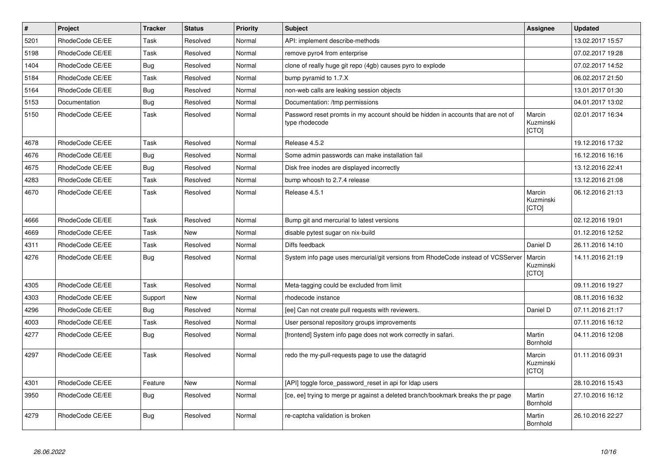| $\vert$ # | <b>Project</b>  | <b>Tracker</b> | <b>Status</b> | Priority | Subject                                                                                            | <b>Assignee</b>              | <b>Updated</b>   |
|-----------|-----------------|----------------|---------------|----------|----------------------------------------------------------------------------------------------------|------------------------------|------------------|
| 5201      | RhodeCode CE/EE | Task           | Resolved      | Normal   | API: implement describe-methods                                                                    |                              | 13.02.2017 15:57 |
| 5198      | RhodeCode CE/EE | Task           | Resolved      | Normal   | remove pyro4 from enterprise                                                                       |                              | 07.02.2017 19:28 |
| 1404      | RhodeCode CE/EE | Bug            | Resolved      | Normal   | clone of really huge git repo (4gb) causes pyro to explode                                         |                              | 07.02.2017 14:52 |
| 5184      | RhodeCode CE/EE | Task           | Resolved      | Normal   | bump pyramid to 1.7.X                                                                              |                              | 06.02.2017 21:50 |
| 5164      | RhodeCode CE/EE | Bug            | Resolved      | Normal   | non-web calls are leaking session objects                                                          |                              | 13.01.2017 01:30 |
| 5153      | Documentation   | Bug            | Resolved      | Normal   | Documentation: /tmp permissions                                                                    |                              | 04.01.2017 13:02 |
| 5150      | RhodeCode CE/EE | Task           | Resolved      | Normal   | Password reset promts in my account should be hidden in accounts that are not of<br>type rhodecode | Marcin<br>Kuzminski<br>[CTO] | 02.01.2017 16:34 |
| 4678      | RhodeCode CE/EE | Task           | Resolved      | Normal   | Release 4.5.2                                                                                      |                              | 19.12.2016 17:32 |
| 4676      | RhodeCode CE/EE | <b>Bug</b>     | Resolved      | Normal   | Some admin passwords can make installation fail                                                    |                              | 16.12.2016 16:16 |
| 4675      | RhodeCode CE/EE | <b>Bug</b>     | Resolved      | Normal   | Disk free inodes are displayed incorrectly                                                         |                              | 13.12.2016 22:41 |
| 4283      | RhodeCode CE/EE | Task           | Resolved      | Normal   | bump whoosh to 2.7.4 release                                                                       |                              | 13.12.2016 21:08 |
| 4670      | RhodeCode CE/EE | Task           | Resolved      | Normal   | Release 4.5.1                                                                                      | Marcin<br>Kuzminski<br>[CTO] | 06.12.2016 21:13 |
| 4666      | RhodeCode CE/EE | Task           | Resolved      | Normal   | Bump git and mercurial to latest versions                                                          |                              | 02.12.2016 19:01 |
| 4669      | RhodeCode CE/EE | Task           | <b>New</b>    | Normal   | disable pytest sugar on nix-build                                                                  |                              | 01.12.2016 12:52 |
| 4311      | RhodeCode CE/EE | Task           | Resolved      | Normal   | Diffs feedback                                                                                     | Daniel D                     | 26.11.2016 14:10 |
| 4276      | RhodeCode CE/EE | <b>Bug</b>     | Resolved      | Normal   | System info page uses mercurial/git versions from RhodeCode instead of VCSServer                   | Marcin<br>Kuzminski<br>[CTO] | 14.11.2016 21:19 |
| 4305      | RhodeCode CE/EE | Task           | Resolved      | Normal   | Meta-tagging could be excluded from limit                                                          |                              | 09.11.2016 19:27 |
| 4303      | RhodeCode CE/EE | Support        | <b>New</b>    | Normal   | rhodecode instance                                                                                 |                              | 08.11.2016 16:32 |
| 4296      | RhodeCode CE/EE | Bug            | Resolved      | Normal   | [ee] Can not create pull requests with reviewers.                                                  | Daniel D                     | 07.11.2016 21:17 |
| 4003      | RhodeCode CE/EE | Task           | Resolved      | Normal   | User personal repository groups improvements                                                       |                              | 07.11.2016 16:12 |
| 4277      | RhodeCode CE/EE | <b>Bug</b>     | Resolved      | Normal   | [frontend] System info page does not work correctly in safari.                                     | Martin<br>Bornhold           | 04.11.2016 12:08 |
| 4297      | RhodeCode CE/EE | Task           | Resolved      | Normal   | redo the my-pull-requests page to use the datagrid                                                 | Marcin<br>Kuzminski<br>[CTO] | 01.11.2016 09:31 |
| 4301      | RhodeCode CE/EE | Feature        | <b>New</b>    | Normal   | [API] toggle force_password_reset in api for Idap users                                            |                              | 28.10.2016 15:43 |
| 3950      | RhodeCode CE/EE | Bug            | Resolved      | Normal   | [ce, ee] trying to merge pr against a deleted branch/bookmark breaks the pr page                   | Martin<br>Bornhold           | 27.10.2016 16:12 |
| 4279      | RhodeCode CE/EE | <b>Bug</b>     | Resolved      | Normal   | re-captcha validation is broken                                                                    | Martin<br>Bornhold           | 26.10.2016 22:27 |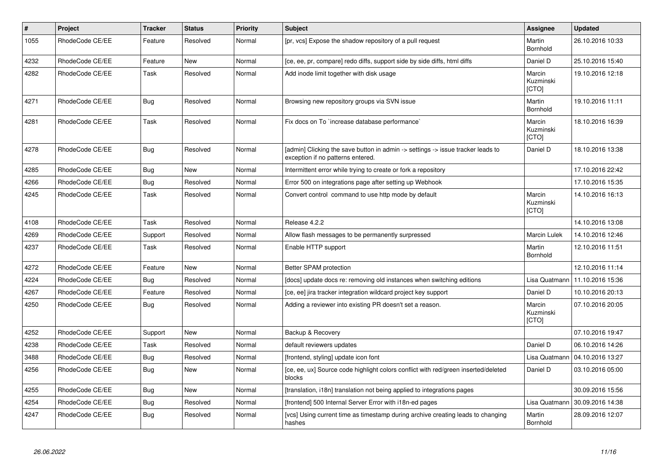| $\pmb{\#}$ | <b>Project</b>  | <b>Tracker</b> | <b>Status</b> | <b>Priority</b> | <b>Subject</b>                                                                                                       | Assignee                            | <b>Updated</b>   |
|------------|-----------------|----------------|---------------|-----------------|----------------------------------------------------------------------------------------------------------------------|-------------------------------------|------------------|
| 1055       | RhodeCode CE/EE | Feature        | Resolved      | Normal          | [pr, vcs] Expose the shadow repository of a pull request                                                             | Martin<br><b>Bornhold</b>           | 26.10.2016 10:33 |
| 4232       | RhodeCode CE/EE | Feature        | New           | Normal          | [ce, ee, pr, compare] redo diffs, support side by side diffs, html diffs                                             | Daniel D                            | 25.10.2016 15:40 |
| 4282       | RhodeCode CE/EE | Task           | Resolved      | Normal          | Add inode limit together with disk usage                                                                             | Marcin<br>Kuzminski<br>[CTO]        | 19.10.2016 12:18 |
| 4271       | RhodeCode CE/EE | <b>Bug</b>     | Resolved      | Normal          | Browsing new repository groups via SVN issue                                                                         | Martin<br>Bornhold                  | 19.10.2016 11:11 |
| 4281       | RhodeCode CE/EE | Task           | Resolved      | Normal          | Fix docs on To `increase database performance`                                                                       | Marcin<br>Kuzminski<br><b>[CTO]</b> | 18.10.2016 16:39 |
| 4278       | RhodeCode CE/EE | Bug            | Resolved      | Normal          | [admin] Clicking the save button in admin -> settings -> issue tracker leads to<br>exception if no patterns entered. | Daniel D                            | 18.10.2016 13:38 |
| 4285       | RhodeCode CE/EE | <b>Bug</b>     | New           | Normal          | Intermittent error while trying to create or fork a repository                                                       |                                     | 17.10.2016 22:42 |
| 4266       | RhodeCode CE/EE | Bug            | Resolved      | Normal          | Error 500 on integrations page after setting up Webhook                                                              |                                     | 17.10.2016 15:35 |
| 4245       | RhodeCode CE/EE | Task           | Resolved      | Normal          | Convert control command to use http mode by default                                                                  | Marcin<br>Kuzminski<br>[CTO]        | 14.10.2016 16:13 |
| 4108       | RhodeCode CE/EE | Task           | Resolved      | Normal          | Release 4.2.2                                                                                                        |                                     | 14.10.2016 13:08 |
| 4269       | RhodeCode CE/EE | Support        | Resolved      | Normal          | Allow flash messages to be permanently surpressed                                                                    | <b>Marcin Lulek</b>                 | 14.10.2016 12:46 |
| 4237       | RhodeCode CE/EE | Task           | Resolved      | Normal          | Enable HTTP support                                                                                                  | Martin<br><b>Bornhold</b>           | 12.10.2016 11:51 |
| 4272       | RhodeCode CE/EE | Feature        | New           | Normal          | Better SPAM protection                                                                                               |                                     | 12.10.2016 11:14 |
| 4224       | RhodeCode CE/EE | Bug            | Resolved      | Normal          | [docs] update docs re: removing old instances when switching editions                                                | Lisa Quatmann                       | 11.10.2016 15:36 |
| 4267       | RhodeCode CE/EE | Feature        | Resolved      | Normal          | [ce, ee] jira tracker integration wildcard project key support                                                       | Daniel D                            | 10.10.2016 20:13 |
| 4250       | RhodeCode CE/EE | Bug            | Resolved      | Normal          | Adding a reviewer into existing PR doesn't set a reason.                                                             | Marcin<br>Kuzminski<br>[CTO]        | 07.10.2016 20:05 |
| 4252       | RhodeCode CE/EE | Support        | New           | Normal          | Backup & Recovery                                                                                                    |                                     | 07.10.2016 19:47 |
| 4238       | RhodeCode CE/EE | Task           | Resolved      | Normal          | default reviewers updates                                                                                            | Daniel D                            | 06.10.2016 14:26 |
| 3488       | RhodeCode CE/EE | Bug            | Resolved      | Normal          | [frontend, styling] update icon font                                                                                 | Lisa Quatmann                       | 04.10.2016 13:27 |
| 4256       | RhodeCode CE/EE | <b>Bug</b>     | <b>New</b>    | Normal          | [ce, ee, ux] Source code highlight colors conflict with red/green inserted/deleted<br>blocks                         | Daniel D                            | 03.10.2016 05:00 |
| 4255       | RhodeCode CE/EE | Bug            | New           | Normal          | [translation, i18n] translation not being applied to integrations pages                                              |                                     | 30.09.2016 15:56 |
| 4254       | RhodeCode CE/EE | Bug            | Resolved      | Normal          | [frontend] 500 Internal Server Error with i18n-ed pages                                                              | Lisa Quatmann                       | 30.09.2016 14:38 |
| 4247       | RhodeCode CE/EE | Bug            | Resolved      | Normal          | [vcs] Using current time as timestamp during archive creating leads to changing<br>hashes                            | Martin<br><b>Bornhold</b>           | 28.09.2016 12:07 |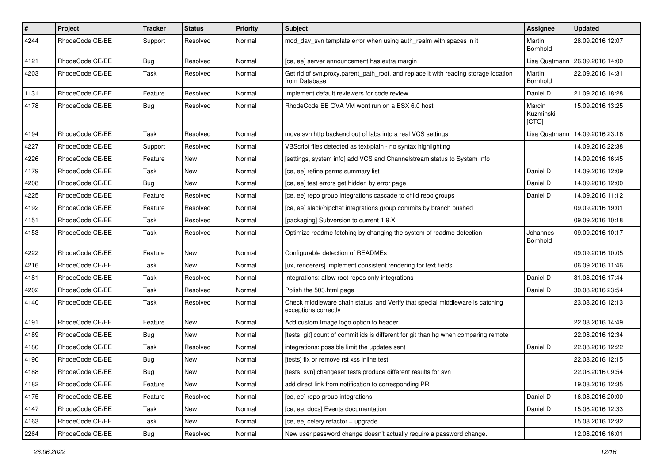| $\pmb{\#}$ | <b>Project</b>  | <b>Tracker</b> | <b>Status</b> | <b>Priority</b> | <b>Subject</b>                                                                                        | Assignee                     | <b>Updated</b>   |
|------------|-----------------|----------------|---------------|-----------------|-------------------------------------------------------------------------------------------------------|------------------------------|------------------|
| 4244       | RhodeCode CE/EE | Support        | Resolved      | Normal          | mod_dav_svn template error when using auth_realm with spaces in it                                    | Martin<br>Bornhold           | 28.09.2016 12:07 |
| 4121       | RhodeCode CE/EE | Bug            | Resolved      | Normal          | [ce, ee] server announcement has extra margin                                                         | Lisa Quatmann                | 26.09.2016 14:00 |
| 4203       | RhodeCode CE/EE | Task           | Resolved      | Normal          | Get rid of svn.proxy.parent_path_root, and replace it with reading storage location<br>from Database  | Martin<br>Bornhold           | 22.09.2016 14:31 |
| 1131       | RhodeCode CE/EE | Feature        | Resolved      | Normal          | Implement default reviewers for code review                                                           | Daniel D                     | 21.09.2016 18:28 |
| 4178       | RhodeCode CE/EE | Bug            | Resolved      | Normal          | RhodeCode EE OVA VM wont run on a ESX 6.0 host                                                        | Marcin<br>Kuzminski<br>[CTO] | 15.09.2016 13:25 |
| 4194       | RhodeCode CE/EE | Task           | Resolved      | Normal          | move svn http backend out of labs into a real VCS settings                                            | Lisa Quatmann                | 14.09.2016 23:16 |
| 4227       | RhodeCode CE/EE | Support        | Resolved      | Normal          | VBScript files detected as text/plain - no syntax highlighting                                        |                              | 14.09.2016 22:38 |
| 4226       | RhodeCode CE/EE | Feature        | <b>New</b>    | Normal          | [settings, system info] add VCS and Channelstream status to System Info                               |                              | 14.09.2016 16:45 |
| 4179       | RhodeCode CE/EE | Task           | <b>New</b>    | Normal          | [ce, ee] refine perms summary list                                                                    | Daniel D                     | 14.09.2016 12:09 |
| 4208       | RhodeCode CE/EE | Bug            | New           | Normal          | [ce, ee] test errors get hidden by error page                                                         | Daniel D                     | 14.09.2016 12:00 |
| 4225       | RhodeCode CE/EE | Feature        | Resolved      | Normal          | [ce, ee] repo group integrations cascade to child repo groups                                         | Daniel D                     | 14.09.2016 11:12 |
| 4192       | RhodeCode CE/EE | Feature        | Resolved      | Normal          | [ce, ee] slack/hipchat integrations group commits by branch pushed                                    |                              | 09.09.2016 19:01 |
| 4151       | RhodeCode CE/EE | Task           | Resolved      | Normal          | [packaging] Subversion to current 1.9.X                                                               |                              | 09.09.2016 10:18 |
| 4153       | RhodeCode CE/EE | Task           | Resolved      | Normal          | Optimize readme fetching by changing the system of readme detection                                   | Johannes<br>Bornhold         | 09.09.2016 10:17 |
| 4222       | RhodeCode CE/EE | Feature        | <b>New</b>    | Normal          | Configurable detection of READMEs                                                                     |                              | 09.09.2016 10:05 |
| 4216       | RhodeCode CE/EE | Task           | New           | Normal          | [ux, renderers] implement consistent rendering for text fields                                        |                              | 06.09.2016 11:46 |
| 4181       | RhodeCode CE/EE | Task           | Resolved      | Normal          | Integrations: allow root repos only integrations                                                      | Daniel D                     | 31.08.2016 17:44 |
| 4202       | RhodeCode CE/EE | Task           | Resolved      | Normal          | Polish the 503.html page                                                                              | Daniel D                     | 30.08.2016 23:54 |
| 4140       | RhodeCode CE/EE | Task           | Resolved      | Normal          | Check middleware chain status, and Verify that special middleware is catching<br>exceptions correctly |                              | 23.08.2016 12:13 |
| 4191       | RhodeCode CE/EE | Feature        | <b>New</b>    | Normal          | Add custom Image logo option to header                                                                |                              | 22.08.2016 14:49 |
| 4189       | RhodeCode CE/EE | Bug            | New           | Normal          | Itests, git] count of commit ids is different for git than hg when comparing remote                   |                              | 22.08.2016 12:34 |
| 4180       | RhodeCode CE/EE | Task           | Resolved      | Normal          | integrations: possible limit the updates sent                                                         | Daniel D                     | 22.08.2016 12:22 |
| 4190       | RhodeCode CE/EE | Bug            | New           | Normal          | [tests] fix or remove rst xss inline test                                                             |                              | 22.08.2016 12:15 |
| 4188       | RhodeCode CE/EE | Bug            | New           | Normal          | [tests, svn] changeset tests produce different results for svn                                        |                              | 22.08.2016 09:54 |
| 4182       | RhodeCode CE/EE | Feature        | New           | Normal          | add direct link from notification to corresponding PR                                                 |                              | 19.08.2016 12:35 |
| 4175       | RhodeCode CE/EE | Feature        | Resolved      | Normal          | [ce, ee] repo group integrations                                                                      | Daniel D                     | 16.08.2016 20:00 |
| 4147       | RhodeCode CE/EE | Task           | New           | Normal          | [ce, ee, docs] Events documentation                                                                   | Daniel D                     | 15.08.2016 12:33 |
| 4163       | RhodeCode CE/EE | Task           | New           | Normal          | [ce, ee] celery refactor + upgrade                                                                    |                              | 15.08.2016 12:32 |
| 2264       | RhodeCode CE/EE | <b>Bug</b>     | Resolved      | Normal          | New user password change doesn't actually require a password change.                                  |                              | 12.08.2016 16:01 |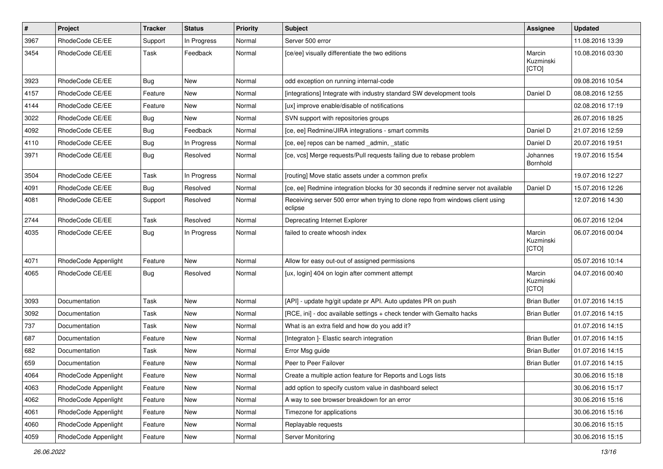| $\vert$ # | Project              | <b>Tracker</b> | <b>Status</b> | <b>Priority</b> | <b>Subject</b>                                                                            | Assignee                     | <b>Updated</b>   |
|-----------|----------------------|----------------|---------------|-----------------|-------------------------------------------------------------------------------------------|------------------------------|------------------|
| 3967      | RhodeCode CE/EE      | Support        | In Progress   | Normal          | Server 500 error                                                                          |                              | 11.08.2016 13:39 |
| 3454      | RhodeCode CE/EE      | Task           | Feedback      | Normal          | [ce/ee] visually differentiate the two editions                                           | Marcin<br>Kuzminski<br>[CTO] | 10.08.2016 03:30 |
| 3923      | RhodeCode CE/EE      | Bug            | <b>New</b>    | Normal          | odd exception on running internal-code                                                    |                              | 09.08.2016 10:54 |
| 4157      | RhodeCode CE/EE      | Feature        | New           | Normal          | [integrations] Integrate with industry standard SW development tools                      | Daniel D                     | 08.08.2016 12:55 |
| 4144      | RhodeCode CE/EE      | Feature        | New           | Normal          | [ux] improve enable/disable of notifications                                              |                              | 02.08.2016 17:19 |
| 3022      | RhodeCode CE/EE      | <b>Bug</b>     | New           | Normal          | SVN support with repositories groups                                                      |                              | 26.07.2016 18:25 |
| 4092      | RhodeCode CE/EE      | <b>Bug</b>     | Feedback      | Normal          | [ce, ee] Redmine/JIRA integrations - smart commits                                        | Daniel D                     | 21.07.2016 12:59 |
| 4110      | RhodeCode CE/EE      | <b>Bug</b>     | In Progress   | Normal          | [ce, ee] repos can be named _admin, _static                                               | Daniel D                     | 20.07.2016 19:51 |
| 3971      | RhodeCode CE/EE      | Bug            | Resolved      | Normal          | [ce, vcs] Merge requests/Pull requests failing due to rebase problem                      | Johannes<br>Bornhold         | 19.07.2016 15:54 |
| 3504      | RhodeCode CE/EE      | Task           | In Progress   | Normal          | [routing] Move static assets under a common prefix                                        |                              | 19.07.2016 12:27 |
| 4091      | RhodeCode CE/EE      | Bug            | Resolved      | Normal          | [ce, ee] Redmine integration blocks for 30 seconds if redmine server not available        | Daniel D                     | 15.07.2016 12:26 |
| 4081      | RhodeCode CE/EE      | Support        | Resolved      | Normal          | Receiving server 500 error when trying to clone repo from windows client using<br>eclipse |                              | 12.07.2016 14:30 |
| 2744      | RhodeCode CE/EE      | Task           | Resolved      | Normal          | Deprecating Internet Explorer                                                             |                              | 06.07.2016 12:04 |
| 4035      | RhodeCode CE/EE      | Bug            | In Progress   | Normal          | failed to create whoosh index                                                             | Marcin<br>Kuzminski<br>[CTO] | 06.07.2016 00:04 |
| 4071      | RhodeCode Appenlight | Feature        | <b>New</b>    | Normal          | Allow for easy out-out of assigned permissions                                            |                              | 05.07.2016 10:14 |
| 4065      | RhodeCode CE/EE      | Bug            | Resolved      | Normal          | [ux, login] 404 on login after comment attempt                                            | Marcin<br>Kuzminski<br>[CTO] | 04.07.2016 00:40 |
| 3093      | Documentation        | Task           | New           | Normal          | [API] - update hg/git update pr API. Auto updates PR on push                              | <b>Brian Butler</b>          | 01.07.2016 14:15 |
| 3092      | Documentation        | Task           | New           | Normal          | [RCE, ini] - doc available settings + check tender with Gemalto hacks                     | <b>Brian Butler</b>          | 01.07.2016 14:15 |
| 737       | Documentation        | Task           | New           | Normal          | What is an extra field and how do you add it?                                             |                              | 01.07.2016 14:15 |
| 687       | Documentation        | Feature        | New           | Normal          | [Integraton ]- Elastic search integration                                                 | <b>Brian Butler</b>          | 01.07.2016 14:15 |
| 682       | Documentation        | Task           | <b>New</b>    | Normal          | Error Msg guide                                                                           | <b>Brian Butler</b>          | 01.07.2016 14:15 |
| 659       | Documentation        | Feature        | New           | Normal          | Peer to Peer Failover                                                                     | <b>Brian Butler</b>          | 01.07.2016 14:15 |
| 4064      | RhodeCode Appenlight | Feature        | New           | Normal          | Create a multiple action feature for Reports and Logs lists                               |                              | 30.06.2016 15:18 |
| 4063      | RhodeCode Appenlight | Feature        | <b>New</b>    | Normal          | add option to specify custom value in dashboard select                                    |                              | 30.06.2016 15:17 |
| 4062      | RhodeCode Appenlight | Feature        | New           | Normal          | A way to see browser breakdown for an error                                               |                              | 30.06.2016 15:16 |
| 4061      | RhodeCode Appenlight | Feature        | New           | Normal          | Timezone for applications                                                                 |                              | 30.06.2016 15:16 |
| 4060      | RhodeCode Appenlight | Feature        | New           | Normal          | Replayable requests                                                                       |                              | 30.06.2016 15:15 |
| 4059      | RhodeCode Appenlight | Feature        | New           | Normal          | Server Monitoring                                                                         |                              | 30.06.2016 15:15 |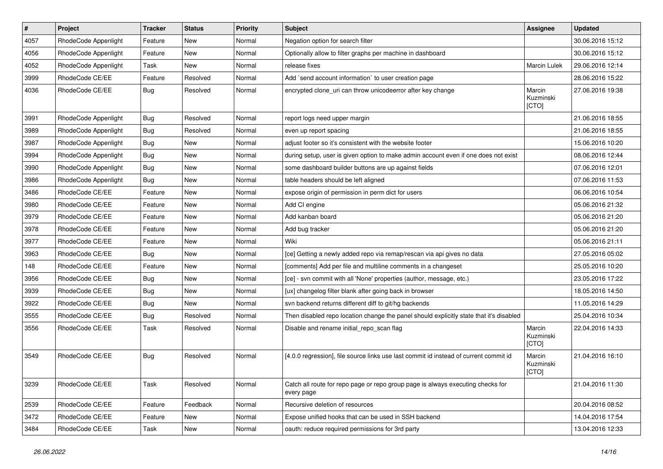| $\pmb{\#}$ | Project              | <b>Tracker</b> | <b>Status</b> | <b>Priority</b> | Subject                                                                                       | <b>Assignee</b>              | <b>Updated</b>   |
|------------|----------------------|----------------|---------------|-----------------|-----------------------------------------------------------------------------------------------|------------------------------|------------------|
| 4057       | RhodeCode Appenlight | Feature        | New           | Normal          | Negation option for search filter                                                             |                              | 30.06.2016 15:12 |
| 4056       | RhodeCode Appenlight | Feature        | <b>New</b>    | Normal          | Optionally allow to filter graphs per machine in dashboard                                    |                              | 30.06.2016 15:12 |
| 4052       | RhodeCode Appenlight | Task           | New           | Normal          | release fixes                                                                                 | <b>Marcin Lulek</b>          | 29.06.2016 12:14 |
| 3999       | RhodeCode CE/EE      | Feature        | Resolved      | Normal          | Add `send account information` to user creation page                                          |                              | 28.06.2016 15:22 |
| 4036       | RhodeCode CE/EE      | <b>Bug</b>     | Resolved      | Normal          | encrypted clone_uri can throw unicodeerror after key change                                   | Marcin<br>Kuzminski<br>[CTO] | 27.06.2016 19:38 |
| 3991       | RhodeCode Appenlight | Bug            | Resolved      | Normal          | report logs need upper margin                                                                 |                              | 21.06.2016 18:55 |
| 3989       | RhodeCode Appenlight | <b>Bug</b>     | Resolved      | Normal          | even up report spacing                                                                        |                              | 21.06.2016 18:55 |
| 3987       | RhodeCode Appenlight | Bug            | New           | Normal          | adjust footer so it's consistent with the website footer                                      |                              | 15.06.2016 10:20 |
| 3994       | RhodeCode Appenlight | <b>Bug</b>     | New           | Normal          | during setup, user is given option to make admin account even if one does not exist           |                              | 08.06.2016 12:44 |
| 3990       | RhodeCode Appenlight | Bug            | New           | Normal          | some dashboard builder buttons are up against fields                                          |                              | 07.06.2016 12:01 |
| 3986       | RhodeCode Appenlight | Bug            | <b>New</b>    | Normal          | table headers should be left aligned                                                          |                              | 07.06.2016 11:53 |
| 3486       | RhodeCode CE/EE      | Feature        | New           | Normal          | expose origin of permission in perm dict for users                                            |                              | 06.06.2016 10:54 |
| 3980       | RhodeCode CE/EE      | Feature        | <b>New</b>    | Normal          | Add CI engine                                                                                 |                              | 05.06.2016 21:32 |
| 3979       | RhodeCode CE/EE      | Feature        | New           | Normal          | Add kanban board                                                                              |                              | 05.06.2016 21:20 |
| 3978       | RhodeCode CE/EE      | Feature        | New           | Normal          | Add bug tracker                                                                               |                              | 05.06.2016 21:20 |
| 3977       | RhodeCode CE/EE      | Feature        | <b>New</b>    | Normal          | Wiki                                                                                          |                              | 05.06.2016 21:11 |
| 3963       | RhodeCode CE/EE      | Bug            | New           | Normal          | [ce] Getting a newly added repo via remap/rescan via api gives no data                        |                              | 27.05.2016 05:02 |
| 148        | RhodeCode CE/EE      | Feature        | New           | Normal          | [comments] Add per file and multiline comments in a changeset                                 |                              | 25.05.2016 10:20 |
| 3956       | RhodeCode CE/EE      | Bug            | New           | Normal          | [ce] - svn commit with all 'None' properties (author, message, etc.)                          |                              | 23.05.2016 17:22 |
| 3939       | RhodeCode CE/EE      | Bug            | New           | Normal          | [ux] changelog filter blank after going back in browser                                       |                              | 18.05.2016 14:50 |
| 3922       | RhodeCode CE/EE      | <b>Bug</b>     | <b>New</b>    | Normal          | svn backend returns different diff to git/hg backends                                         |                              | 11.05.2016 14:29 |
| 3555       | RhodeCode CE/EE      | Bug            | Resolved      | Normal          | Then disabled repo location change the panel should explicitly state that it's disabled       |                              | 25.04.2016 10:34 |
| 3556       | RhodeCode CE/EE      | Task           | Resolved      | Normal          | Disable and rename initial_repo_scan flag                                                     | Marcin<br>Kuzminski<br>[CTO] | 22.04.2016 14:33 |
| 3549       | RhodeCode CE/EE      | <b>Bug</b>     | Resolved      | Normal          | [4.0.0 regression], file source links use last commit id instead of current commit id         | Marcin<br>Kuzminski<br>[CTO] | 21.04.2016 16:10 |
| 3239       | RhodeCode CE/EE      | Task           | Resolved      | Normal          | Catch all route for repo page or repo group page is always executing checks for<br>every page |                              | 21.04.2016 11:30 |
| 2539       | RhodeCode CE/EE      | Feature        | Feedback      | Normal          | Recursive deletion of resources                                                               |                              | 20.04.2016 08:52 |
| 3472       | RhodeCode CE/EE      | Feature        | <b>New</b>    | Normal          | Expose unified hooks that can be used in SSH backend                                          |                              | 14.04.2016 17:54 |
| 3484       | RhodeCode CE/EE      | Task           | New           | Normal          | oauth: reduce required permissions for 3rd party                                              |                              | 13.04.2016 12:33 |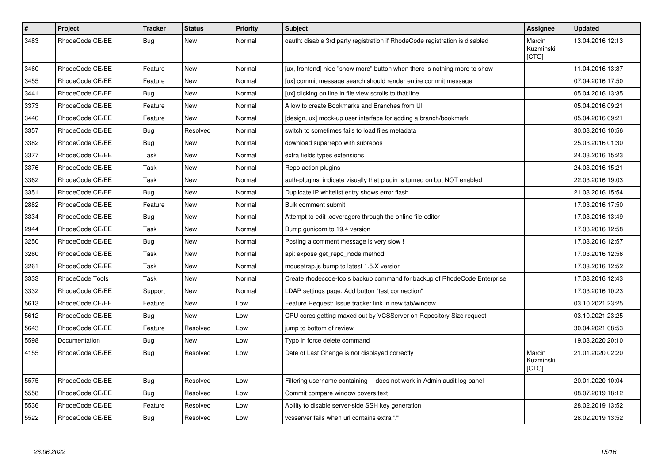| $\pmb{\#}$ | <b>Project</b>  | <b>Tracker</b> | <b>Status</b> | <b>Priority</b> | <b>Subject</b>                                                              | Assignee                     | <b>Updated</b>   |
|------------|-----------------|----------------|---------------|-----------------|-----------------------------------------------------------------------------|------------------------------|------------------|
| 3483       | RhodeCode CE/EE | Bug            | New           | Normal          | oauth: disable 3rd party registration if RhodeCode registration is disabled | Marcin<br>Kuzminski<br>[CTO] | 13.04.2016 12:13 |
| 3460       | RhodeCode CE/EE | Feature        | New           | Normal          | [ux, frontend] hide "show more" button when there is nothing more to show   |                              | 11.04.2016 13:37 |
| 3455       | RhodeCode CE/EE | Feature        | <b>New</b>    | Normal          | [ux] commit message search should render entire commit message              |                              | 07.04.2016 17:50 |
| 3441       | RhodeCode CE/EE | Bug            | <b>New</b>    | Normal          | [ux] clicking on line in file view scrolls to that line                     |                              | 05.04.2016 13:35 |
| 3373       | RhodeCode CE/EE | Feature        | <b>New</b>    | Normal          | Allow to create Bookmarks and Branches from UI                              |                              | 05.04.2016 09:21 |
| 3440       | RhodeCode CE/EE | Feature        | <b>New</b>    | Normal          | [design, ux] mock-up user interface for adding a branch/bookmark            |                              | 05.04.2016 09:21 |
| 3357       | RhodeCode CE/EE | Bug            | Resolved      | Normal          | switch to sometimes fails to load files metadata                            |                              | 30.03.2016 10:56 |
| 3382       | RhodeCode CE/EE | Bug            | <b>New</b>    | Normal          | download superrepo with subrepos                                            |                              | 25.03.2016 01:30 |
| 3377       | RhodeCode CE/EE | Task           | New           | Normal          | extra fields types extensions                                               |                              | 24.03.2016 15:23 |
| 3376       | RhodeCode CE/EE | Task           | New           | Normal          | Repo action plugins                                                         |                              | 24.03.2016 15:21 |
| 3362       | RhodeCode CE/EE | Task           | <b>New</b>    | Normal          | auth-plugins, indicate visually that plugin is turned on but NOT enabled    |                              | 22.03.2016 19:03 |
| 3351       | RhodeCode CE/EE | <b>Bug</b>     | <b>New</b>    | Normal          | Duplicate IP whitelist entry shows error flash                              |                              | 21.03.2016 15:54 |
| 2882       | RhodeCode CE/EE | Feature        | <b>New</b>    | Normal          | Bulk comment submit                                                         |                              | 17.03.2016 17:50 |
| 3334       | RhodeCode CE/EE | Bug            | New           | Normal          | Attempt to edit .coveragerc through the online file editor                  |                              | 17.03.2016 13:49 |
| 2944       | RhodeCode CE/EE | Task           | <b>New</b>    | Normal          | Bump gunicorn to 19.4 version                                               |                              | 17.03.2016 12:58 |
| 3250       | RhodeCode CE/EE | Bug            | <b>New</b>    | Normal          | Posting a comment message is very slow !                                    |                              | 17.03.2016 12:57 |
| 3260       | RhodeCode CE/EE | Task           | New           | Normal          | api: expose get_repo_node method                                            |                              | 17.03.2016 12:56 |
| 3261       | RhodeCode CE/EE | Task           | New           | Normal          | mousetrap.js bump to latest 1.5.X version                                   |                              | 17.03.2016 12:52 |
| 3333       | RhodeCode Tools | Task           | <b>New</b>    | Normal          | Create rhodecode-tools backup command for backup of RhodeCode Enterprise    |                              | 17.03.2016 12:43 |
| 3332       | RhodeCode CE/EE | Support        | <b>New</b>    | Normal          | LDAP settings page: Add button "test connection"                            |                              | 17.03.2016 10:23 |
| 5613       | RhodeCode CE/EE | Feature        | New           | Low             | Feature Request: Issue tracker link in new tab/window                       |                              | 03.10.2021 23:25 |
| 5612       | RhodeCode CE/EE | Bug            | <b>New</b>    | Low             | CPU cores getting maxed out by VCSServer on Repository Size request         |                              | 03.10.2021 23:25 |
| 5643       | RhodeCode CE/EE | Feature        | Resolved      | Low             | jump to bottom of review                                                    |                              | 30.04.2021 08:53 |
| 5598       | Documentation   | Bug            | New           | Low             | Typo in force delete command                                                |                              | 19.03.2020 20:10 |
| 4155       | RhodeCode CE/EE | Bug            | Resolved      | Low             | Date of Last Change is not displayed correctly                              | Marcin<br>Kuzminski<br>[CTO] | 21.01.2020 02:20 |
| 5575       | RhodeCode CE/EE | Bug            | Resolved      | Low             | Filtering username containing '-' does not work in Admin audit log panel    |                              | 20.01.2020 10:04 |
| 5558       | RhodeCode CE/EE | Bug            | Resolved      | Low             | Commit compare window covers text                                           |                              | 08.07.2019 18:12 |
| 5536       | RhodeCode CE/EE | Feature        | Resolved      | Low             | Ability to disable server-side SSH key generation                           |                              | 28.02.2019 13:52 |
| 5522       | RhodeCode CE/EE | Bug            | Resolved      | Low             | vcsserver fails when url contains extra "/"                                 |                              | 28.02.2019 13:52 |